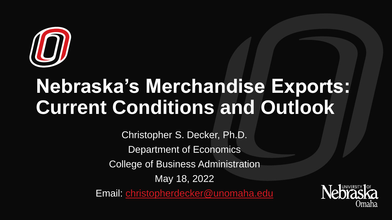

# **Nebraska's Merchandise Exports: Current Conditions and Outlook**

Christopher S. Decker, Ph.D. Department of Economics College of Business Administration May 18, 2022 Email: [christopherdecker@unomaha.edu](mailto:christopherdecker@unomaha.edu)

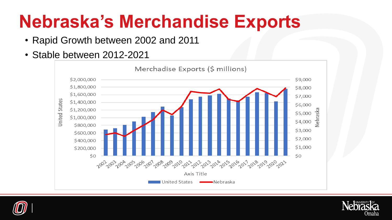#### **Nebraska's Merchandise Exports**

- Rapid Growth between 2002 and 2011
- Stable between 2012-2021





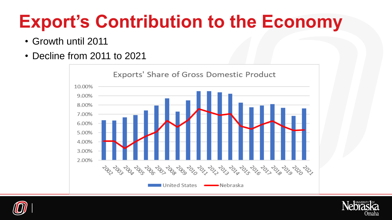# **Export's Contribution to the Economy**

- Growth until 2011
- Decline from 2011 to 2021





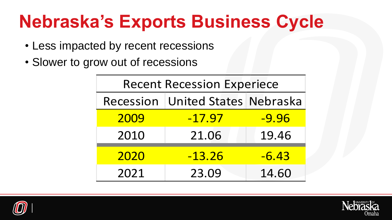#### **Nebraska's Exports Business Cycle**

- Less impacted by recent recessions
- Slower to grow out of recessions

| <b>Recent Recession Experiece</b> |                                      |         |  |  |
|-----------------------------------|--------------------------------------|---------|--|--|
|                                   | Recession   United States   Nebraska |         |  |  |
| 2009                              | $-17.97$                             | $-9.96$ |  |  |
| 2010                              | 21.06                                | 19.46   |  |  |
| 2020                              | $-13.26$                             | $-6.43$ |  |  |
| 2021                              | 23.09                                | 14.60   |  |  |



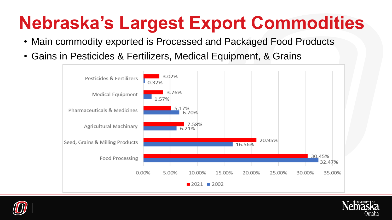# **Nebraska's Largest Export Commodities**

- Main commodity exported is Processed and Packaged Food Products
- Gains in Pesticides & Fertilizers, Medical Equipment, & Grains





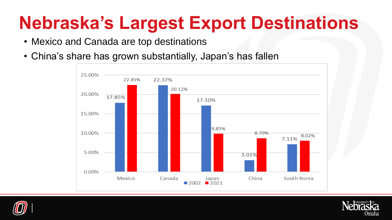#### **Nebraska's Largest Export Destinations**

- Mexico and Canada are top destinations
- China's share has grown substantially, Japan's has fallen





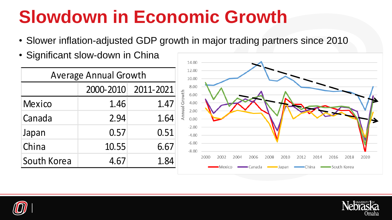#### **Slowdown in Economic Growth**

- Slower inflation-adjusted GDP growth in major trading partners since 2010
- Significant slow-down in China

| <b>Average Annual Growth</b> |           |           |  |  |
|------------------------------|-----------|-----------|--|--|
|                              | 2000-2010 | 2011-2021 |  |  |
| <b>Mexico</b>                | 1.46      | 1.47      |  |  |
| Canada                       | 2.94      | 1.64      |  |  |
| Japan                        | 0.57      | 0.51      |  |  |
| China                        | 10.55     | 6.67      |  |  |
| South Korea                  | 4.67      | 1.84      |  |  |





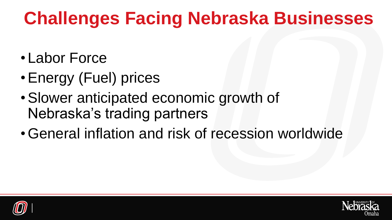# **Challenges Facing Nebraska Businesses**

- Labor Force
- •Energy (Fuel) prices
- •Slower anticipated economic growth of Nebraska's trading partners
- •General inflation and risk of recession worldwide



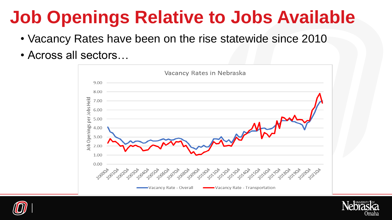#### **Job Openings Relative to Jobs Available**

- Vacancy Rates have been on the rise statewide since 2010
- Across all sectors…





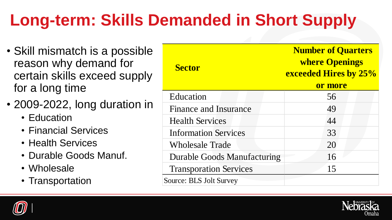#### **Long-term: Skills Demanded in Short Supply**

- Skill mismatch is a possible reason why demand for certain skills exceed supply for a long time
- 2009-2022, long duration in
	- Education
	- Financial Services
	- Health Services
	- Durable Goods Manuf.
	- Wholesale
	- Transportation

| <b>Sector</b>                      | <b>Number of Quarters</b><br><b>where Openings</b><br>exceeded Hires by 25%<br>or more |
|------------------------------------|----------------------------------------------------------------------------------------|
| Education                          | 56                                                                                     |
| <b>Finance and Insurance</b>       | 49                                                                                     |
| <b>Health Services</b>             | 44                                                                                     |
| <b>Information Services</b>        | 33                                                                                     |
| <b>Wholesale Trade</b>             | 20                                                                                     |
| <b>Durable Goods Manufacturing</b> | 16                                                                                     |
| <b>Transporation Services</b>      | 15                                                                                     |
| Source: BLS Jolt Survey            |                                                                                        |



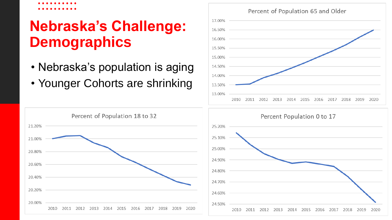#### **Nebraska's Challenge: Demographics**

- Nebraska's population is aging
- Younger Cohorts are shrinking





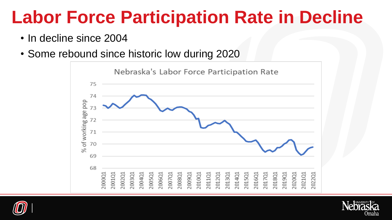#### **Labor Force Participation Rate in Decline**

- In decline since 2004
- Some rebound since historic low during 2020





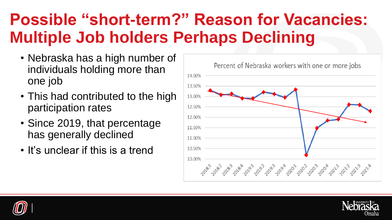#### **Possible "short-term?" Reason for Vacancies: Multiple Job holders Perhaps Declining**

- Nebraska has a high number of individuals holding more than one job
- This had contributed to the high participation rates
- Since 2019, that percentage has generally declined
- It's unclear if this is a trend





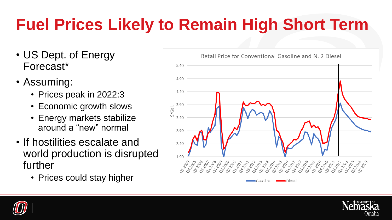#### **Fuel Prices Likely to Remain High Short Term**

- US Dept. of Energy Forecast\*
- Assuming:
	- Prices peak in 2022:3
	- Economic growth slows
	- Energy markets stabilize around a "new" normal
- If hostilities escalate and world production is disrupted further
	- Prices could stay higher





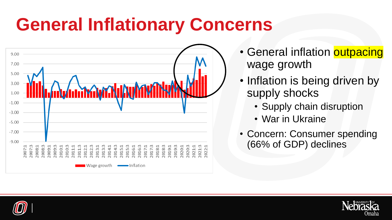# **General Inflationary Concerns**



• General inflation **outpacing** wage growth

- Inflation is being driven by supply shocks
	- Supply chain disruption
	- War in Ukraine
- Concern: Consumer spending (66% of GDP) declines



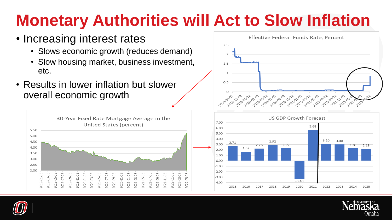#### **Monetary Authorities will Act to Slow Inflation**

#### • Increasing interest rates

- Slows economic growth (reduces demand)
- Slow housing market, business investment, etc.
- Results in lower inflation but slower overall economic growth









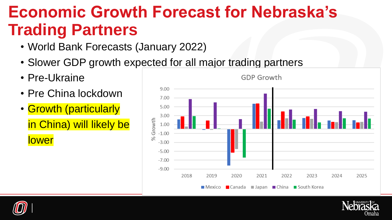#### **Economic Growth Forecast for Nebraska's Trading Partners**

- World Bank Forecasts (January 2022)
- Slower GDP growth expected for all major trading partners
- Pre-Ukraine

lower

- Pre China lockdown
- Growth (particularly in China) will likely be





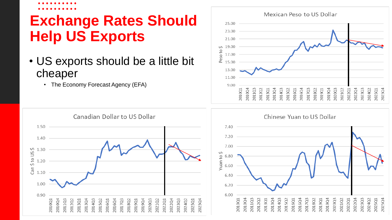#### **Exchange Rates Should Help US Exports**

- US exports should be a little bit cheaper
	- The Economy Forecast Agency (EFA)





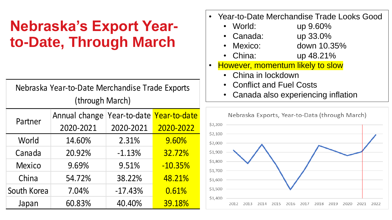#### **Nebraska's Export Yearto-Date, Through March**

| Nebraska Year-to-Date Merchandise Trade Exports |                                         |           |           |  |  |
|-------------------------------------------------|-----------------------------------------|-----------|-----------|--|--|
| (through March)                                 |                                         |           |           |  |  |
| Partner                                         | Annual change Year-to-date Year-to-date |           |           |  |  |
|                                                 | 2020-2021                               | 2020-2021 | 2020-2022 |  |  |
| World                                           | 14.60%                                  | 2.31%     | 9.60%     |  |  |
| Canada                                          | 20.92%                                  | $-1.13%$  | 32.72%    |  |  |
| <b>Mexico</b>                                   | 9.69%                                   | 9.51%     | $-10.35%$ |  |  |
| China                                           | 54.72%                                  | 38.22%    | 48.21%    |  |  |
| South Korea                                     | 7.04%                                   | $-17.43%$ | 0.61%     |  |  |
| Japan                                           | 60.83%                                  | 40.40%    | 39.18%    |  |  |

- Year-to-Date Merchandise Trade Looks Good
	- World: up 9.60%
	- Canada: up 33.0%
	- Mexico: down 10.35%
	- China: up 48.21%
- However, momentum likely to slow
	- China in lockdown
	- Conflict and Fuel Costs
	- Canada also experiencing inflation

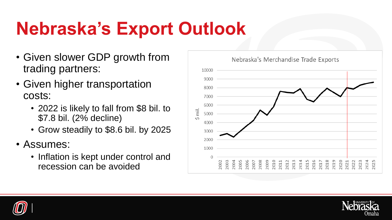# **Nebraska's Export Outlook**

- Given slower GDP growth from trading partners:
- Given higher transportation costs:
	- 2022 is likely to fall from \$8 bil. to \$7.8 bil. (2% decline)
	- Grow steadily to \$8.6 bil. by 2025
- Assumes:
	- Inflation is kept under control and recession can be avoided





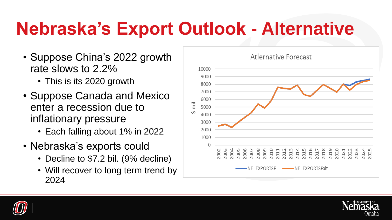# **Nebraska's Export Outlook - Alternative**

- Suppose China's 2022 growth rate slows to 2.2%
	- This is its 2020 growth
- Suppose Canada and Mexico enter a recession due to inflationary pressure
	- Each falling about 1% in 2022
- Nebraska's exports could
	- Decline to \$7.2 bil. (9% decline)
	- Will recover to long term trend by 2024